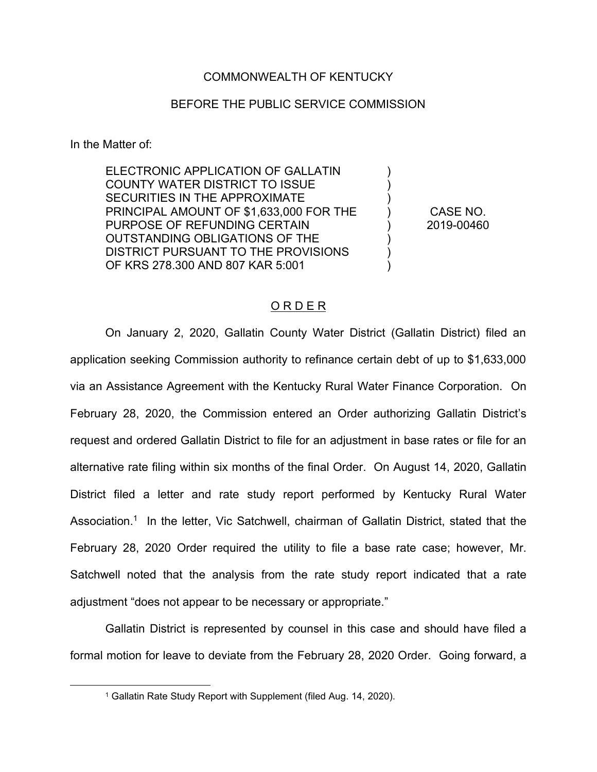## COMMONWEALTH OF KENTUCKY

## BEFORE THE PUBLIC SERVICE COMMISSION

In the Matter of:

ELECTRONIC APPLICATION OF GALLATIN COUNTY WATER DISTRICT TO ISSUE SECURITIES IN THE APPROXIMATE PRINCIPAL AMOUNT OF \$1,633,000 FOR THE PURPOSE OF REFUNDING CERTAIN OUTSTANDING OBLIGATIONS OF THE DISTRICT PURSUANT TO THE PROVISIONS OF KRS 278.300 AND 807 KAR 5:001

CASE NO. 2019-00460

) ) ) ) ) ) ) )

## O R D E R

On January 2, 2020, Gallatin County Water District (Gallatin District) filed an application seeking Commission authority to refinance certain debt of up to \$1,633,000 via an Assistance Agreement with the Kentucky Rural Water Finance Corporation. On February 28, 2020, the Commission entered an Order authorizing Gallatin District's request and ordered Gallatin District to file for an adjustment in base rates or file for an alternative rate filing within six months of the final Order. On August 14, 2020, Gallatin District filed a letter and rate study report performed by Kentucky Rural Water Association.<sup>1</sup> In the letter, Vic Satchwell, chairman of Gallatin District, stated that the February 28, 2020 Order required the utility to file a base rate case; however, Mr. Satchwell noted that the analysis from the rate study report indicated that a rate adjustment "does not appear to be necessary or appropriate."

Gallatin District is represented by counsel in this case and should have filed a formal motion for leave to deviate from the February 28, 2020 Order. Going forward, a

<sup>1</sup> Gallatin Rate Study Report with Supplement (filed Aug. 14, 2020).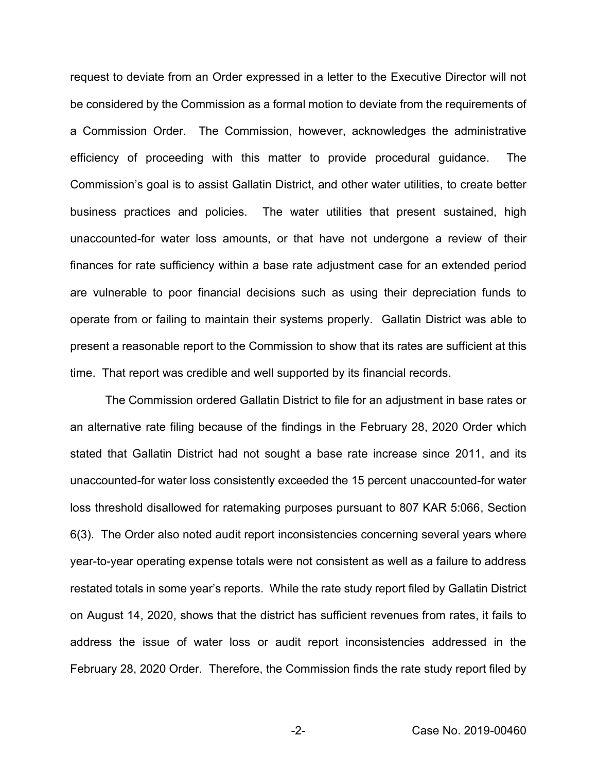request to deviate from an Order expressed in a letter to the Executive Director will not be considered by the Commission as a formal motion to deviate from the requirements of a Commission Order. The Commission, however, acknowledges the administrative efficiency of proceeding with this matter to provide procedural guidance. The Commission's goal is to assist Gallatin District, and other water utilities, to create better business practices and policies. The water utilities that present sustained, high unaccounted-for water loss amounts, or that have not undergone a review of their finances for rate sufficiency within a base rate adjustment case for an extended period are vulnerable to poor financial decisions such as using their depreciation funds to operate from or failing to maintain their systems properly. Gallatin District was able to present a reasonable report to the Commission to show that its rates are sufficient at this time. That report was credible and well supported by its financial records.

The Commission ordered Gallatin District to file for an adjustment in base rates or an alternative rate filing because of the findings in the February 28, 2020 Order which stated that Gallatin District had not sought a base rate increase since 2011, and its unaccounted-for water loss consistently exceeded the 15 percent unaccounted-for water loss threshold disallowed for ratemaking purposes pursuant to 807 KAR 5:066, Section 6(3). The Order also noted audit report inconsistencies concerning several years where year-to-year operating expense totals were not consistent as well as a failure to address restated totals in some year's reports. While the rate study report filed by Gallatin District on August 14, 2020, shows that the district has sufficient revenues from rates, it fails to address the issue of water loss or audit report inconsistencies addressed in the February 28, 2020 Order. Therefore, the Commission finds the rate study report filed by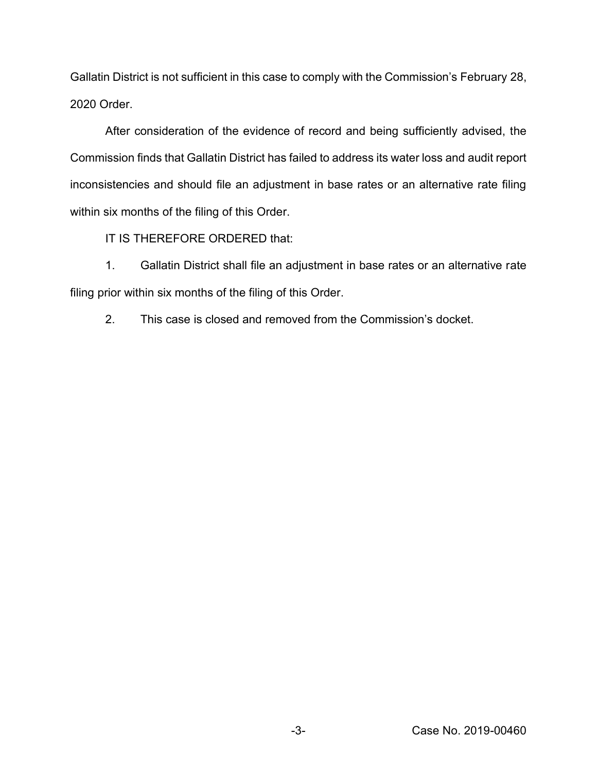Gallatin District is not sufficient in this case to comply with the Commission's February 28, 2020 Order.

After consideration of the evidence of record and being sufficiently advised, the Commission finds that Gallatin District has failed to address its water loss and audit report inconsistencies and should file an adjustment in base rates or an alternative rate filing within six months of the filing of this Order.

IT IS THEREFORE ORDERED that:

1. Gallatin District shall file an adjustment in base rates or an alternative rate filing prior within six months of the filing of this Order.

2. This case is closed and removed from the Commission's docket.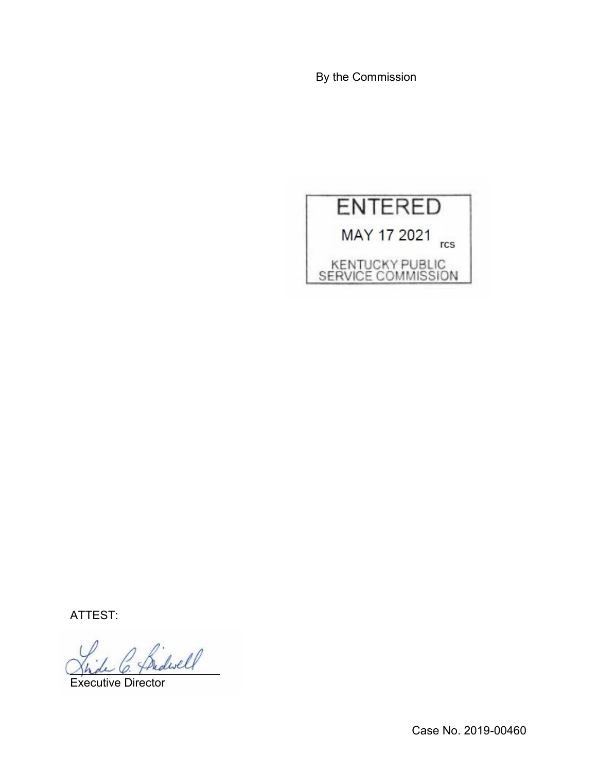By the Commission



ATTEST:

Bidwell

Executive Director

Case No. 2019-00460